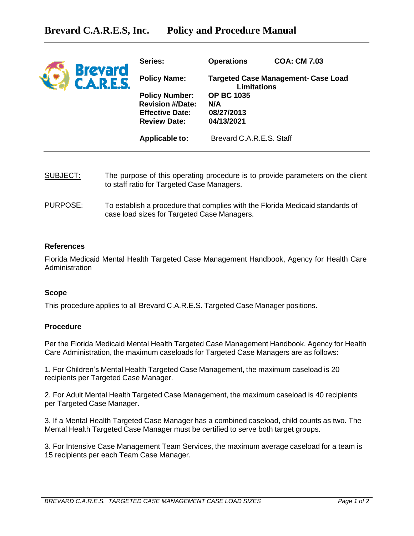| <b>Brevard</b><br><b>CARES</b> | Series:                                                                                           | <b>Operations</b>                                         | <b>COA: CM 7.03</b> |
|--------------------------------|---------------------------------------------------------------------------------------------------|-----------------------------------------------------------|---------------------|
|                                | <b>Policy Name:</b>                                                                               | Targeted Case Management- Case Load<br><b>Limitations</b> |                     |
|                                | <b>Policy Number:</b><br><b>Revision #/Date:</b><br><b>Effective Date:</b><br><b>Review Date:</b> | <b>OP BC 1035</b><br>N/A<br>08/27/2013<br>04/13/2021      |                     |
|                                | Applicable to:                                                                                    | Brevard C.A.R.E.S. Staff                                  |                     |

- SUBJECT: The purpose of this operating procedure is to provide parameters on the client to staff ratio for Targeted Case Managers.
- PURPOSE: To establish a procedure that complies with the Florida Medicaid standards of case load sizes for Targeted Case Managers.

## **References**

Florida Medicaid Mental Health Targeted Case Management Handbook, Agency for Health Care Administration

## **Scope**

This procedure applies to all Brevard C.A.R.E.S. Targeted Case Manager positions.

## **Procedure**

Per the Florida Medicaid Mental Health Targeted Case Management Handbook, Agency for Health Care Administration, the maximum caseloads for Targeted Case Managers are as follows:

1. For Children's Mental Health Targeted Case Management, the maximum caseload is 20 recipients per Targeted Case Manager.

2. For Adult Mental Health Targeted Case Management, the maximum caseload is 40 recipients per Targeted Case Manager.

3. If a Mental Health Targeted Case Manager has a combined caseload, child counts as two. The Mental Health Targeted Case Manager must be certified to serve both target groups.

3. For Intensive Case Management Team Services, the maximum average caseload for a team is 15 recipients per each Team Case Manager.